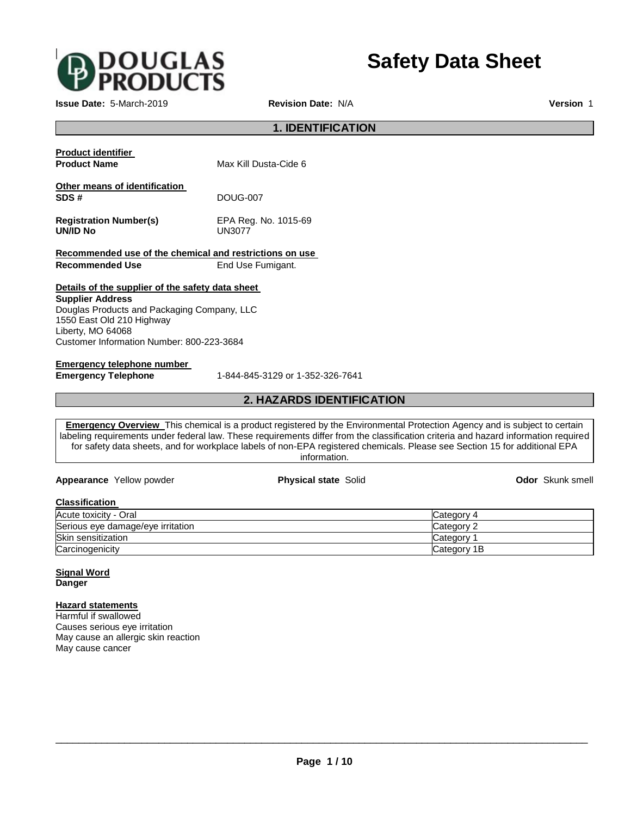

**Issue Date:** 5-March-2019 **Revision Date:** N/A **Version** 1

**Safety Data Sheet**

# **1. IDENTIFICATION Product identifier Product Name** Max Kill Dusta-Cide 6 **Other means of identification SDS #** DOUG-007 **Registration Number(s)** EPA Reg. No. 1015-69 **UN/ID No** UN3077 **Recommended use of the chemical and restrictions on use Recommended Use End Use Fumigant. Details of the supplier of the safety data sheet Supplier Address** Douglas Products and Packaging Company, LLC 1550 East Old 210 Highway

Liberty, MO 64068 Customer Information Number: 800-223-3684

**Emergency telephone number** 

**Emergency Telephone** 1-844-845-3129 or 1-352-326-7641

## **2. HAZARDS IDENTIFICATION**

**Emergency Overview** This chemical is a product registered by the Environmental Protection Agency and is subject to certain labeling requirements under federal law. These requirements differ from the classification criteria and hazard information required for safety data sheets, and for workplace labels of non-EPA registered chemicals. Please see Section 15 for additional EPA information.

**Appearance** Yellow powder **Physical state** Solid **Odor** Skunk smell

| Classification                    |             |
|-----------------------------------|-------------|
| Acute toxicity - Oral             | Category 4  |
| Serious eye damage/eye irritation | Category 2  |
| <b>Skin sensitization</b>         | Category    |
| Carcinogenicity                   | Category 1B |

**Signal Word Danger** 

**Hazard statements**

Harmful if swallowed Causes serious eye irritation May cause an allergic skin reaction May cause cancer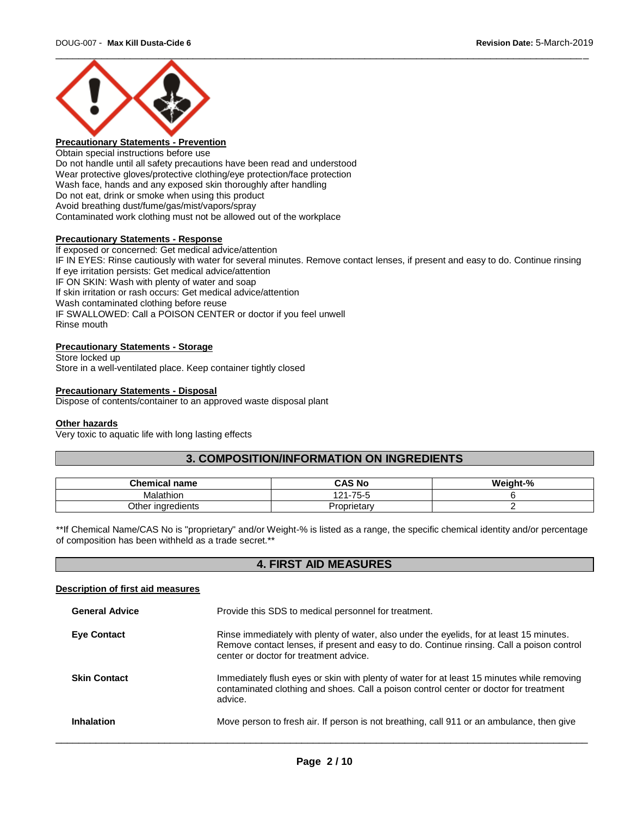

## **Precautionary Statements - Prevention**

Obtain special instructions before use Do not handle until all safety precautions have been read and understood Wear protective gloves/protective clothing/eye protection/face protection Wash face, hands and any exposed skin thoroughly after handling Do not eat, drink or smoke when using this product Avoid breathing dust/fume/gas/mist/vapors/spray Contaminated work clothing must not be allowed out of the workplace

### **Precautionary Statements - Response**

If exposed or concerned: Get medical advice/attention IF IN EYES: Rinse cautiously with water for several minutes. Remove contact lenses, if present and easy to do. Continue rinsing If eye irritation persists: Get medical advice/attention IF ON SKIN: Wash with plenty of water and soap If skin irritation or rash occurs: Get medical advice/attention Wash contaminated clothing before reuse IF SWALLOWED: Call a POISON CENTER or doctor if you feel unwell Rinse mouth

## **Precautionary Statements - Storage**

Store locked up Store in a well-ventilated place. Keep container tightly closed

### **Precautionary Statements - Disposal**

Dispose of contents/container to an approved waste disposal plant

### **Other hazards**

Very toxic to aquatic life with long lasting effects

## **3. COMPOSITION/INFORMATION ON INGREDIENTS**

| <b>Chemical</b><br>I name | <b>CAS No</b>   | $$ t- $^{\circ}$<br>W.<br>7η |
|---------------------------|-----------------|------------------------------|
| Malathion                 | 75<br>$\sim$    |                              |
| Other<br>∵inaredients     | orietarv<br>، ب |                              |

\*\*If Chemical Name/CAS No is "proprietary" and/or Weight-% is listed as a range, the specific chemical identity and/or percentage of composition has been withheld as a trade secret.\*\*

## **4. FIRST AID MEASURES**

#### **Description of first aid measures**

| <b>General Advice</b> | Provide this SDS to medical personnel for treatment.                                                                                                                                                                            |
|-----------------------|---------------------------------------------------------------------------------------------------------------------------------------------------------------------------------------------------------------------------------|
| <b>Eve Contact</b>    | Rinse immediately with plenty of water, also under the eyelids, for at least 15 minutes.<br>Remove contact lenses, if present and easy to do. Continue rinsing. Call a poison control<br>center or doctor for treatment advice. |
| <b>Skin Contact</b>   | Immediately flush eyes or skin with plenty of water for at least 15 minutes while removing<br>contaminated clothing and shoes. Call a poison control center or doctor for treatment<br>advice.                                  |
| Inhalation            | Move person to fresh air. If person is not breathing, call 911 or an ambulance, then give                                                                                                                                       |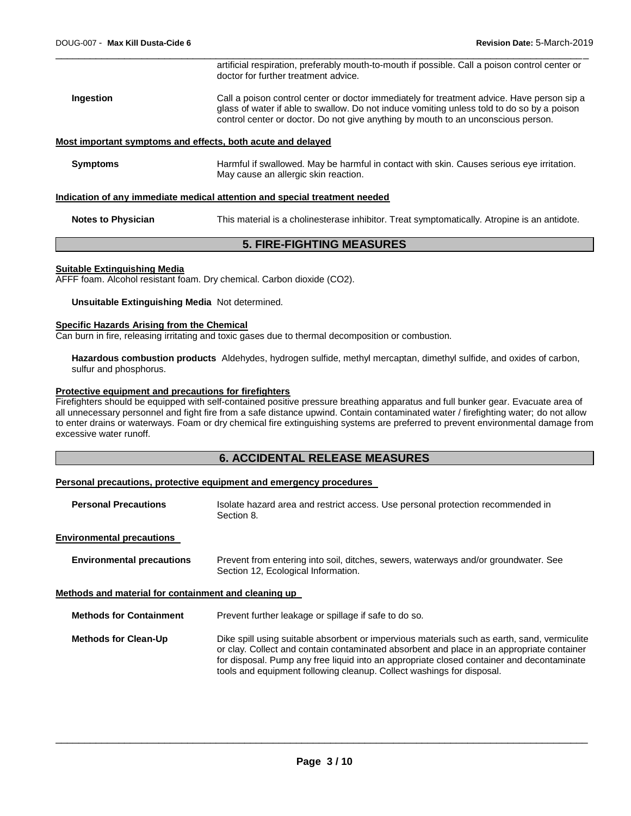|                 | artificial respiration, preferably mouth-to-mouth if possible. Call a poison control center or<br>doctor for further treatment advice.                                                                                                                                        |
|-----------------|-------------------------------------------------------------------------------------------------------------------------------------------------------------------------------------------------------------------------------------------------------------------------------|
| Ingestion       | Call a poison control center or doctor immediately for treatment advice. Have person sip a<br>glass of water if able to swallow. Do not induce vomiting unless told to do so by a poison<br>control center or doctor. Do not give anything by mouth to an unconscious person. |
|                 | Most important symptoms and effects, both acute and delayed                                                                                                                                                                                                                   |
| <b>Symptoms</b> | Harmful if swallowed. May be harmful in contact with skin. Causes serious eye irritation.<br>May cause an allergic skin reaction.                                                                                                                                             |
|                 | Indication of any immodiate medical attention and enecial treatment needed                                                                                                                                                                                                    |

\_\_\_\_\_\_\_\_\_\_\_\_\_\_\_\_\_\_\_\_\_\_\_\_\_\_\_\_\_\_\_\_\_\_\_\_\_\_\_\_\_\_\_\_\_\_\_\_\_\_\_\_\_\_\_\_\_\_\_\_\_\_\_\_\_\_\_\_\_\_\_\_\_\_\_\_\_\_\_\_\_\_\_\_\_\_\_\_\_\_\_\_\_

### **Indication of any immediate medical attention and special treatment need**

**Notes to Physician** This material is a cholinesterase inhibitor. Treat symptomatically. Atropine is an antidote.

## **5. FIRE-FIGHTING MEASURES**

#### **Suitable Extinguishing Media**

AFFF foam. Alcohol resistant foam. Dry chemical. Carbon dioxide (CO2).

#### **Unsuitable Extinguishing Media** Not determined.

#### **Specific Hazards Arising from the Chemical**

Can burn in fire, releasing irritating and toxic gases due to thermal decomposition or combustion.

**Hazardous combustion products** Aldehydes, hydrogen sulfide, methyl mercaptan, dimethyl sulfide, and oxides of carbon, sulfur and phosphorus.

### **Protective equipment and precautions for firefighters**

Firefighters should be equipped with self-contained positive pressure breathing apparatus and full bunker gear. Evacuate area of all unnecessary personnel and fight fire from a safe distance upwind. Contain contaminated water / firefighting water; do not allow to enter drains or waterways. Foam or dry chemical fire extinguishing systems are preferred to prevent environmental damage from excessive water runoff.

## **6. ACCIDENTAL RELEASE MEASURES**

#### **Personal precautions, protective equipment and emergency procedures**

| <b>Personal Precautions</b>                          | Isolate hazard area and restrict access. Use personal protection recommended in<br>Section 8.                                                                                                                                                                                                                                                                   |
|------------------------------------------------------|-----------------------------------------------------------------------------------------------------------------------------------------------------------------------------------------------------------------------------------------------------------------------------------------------------------------------------------------------------------------|
| <b>Environmental precautions</b>                     |                                                                                                                                                                                                                                                                                                                                                                 |
| <b>Environmental precautions</b>                     | Prevent from entering into soil, ditches, sewers, waterways and/or groundwater. See<br>Section 12, Ecological Information.                                                                                                                                                                                                                                      |
| Methods and material for containment and cleaning up |                                                                                                                                                                                                                                                                                                                                                                 |
| <b>Methods for Containment</b>                       | Prevent further leakage or spillage if safe to do so.                                                                                                                                                                                                                                                                                                           |
| <b>Methods for Clean-Up</b>                          | Dike spill using suitable absorbent or impervious materials such as earth, sand, vermiculite<br>or clay. Collect and contain contaminated absorbent and place in an appropriate container<br>for disposal. Pump any free liquid into an appropriate closed container and decontaminate<br>tools and equipment following cleanup. Collect washings for disposal. |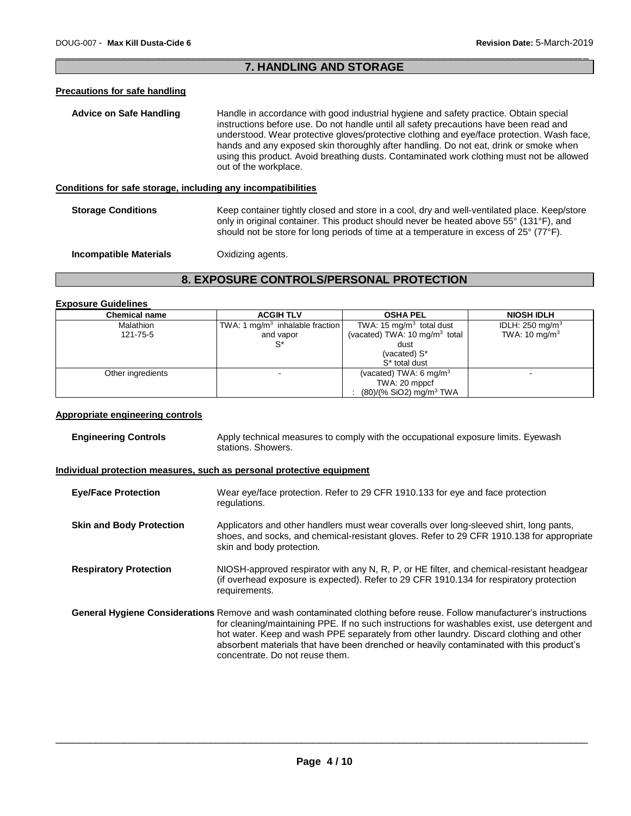## \_\_\_\_\_\_\_\_\_\_\_\_\_\_\_\_\_\_\_\_\_\_\_\_\_\_\_\_\_\_\_\_\_\_\_\_\_\_\_\_\_\_\_\_\_\_\_\_\_\_\_\_\_\_\_\_\_\_\_\_\_\_\_\_\_\_\_\_\_\_\_\_\_\_\_\_\_\_\_\_\_\_\_\_\_\_\_\_\_\_\_\_\_ **7. HANDLING AND STORAGE**

## **Precautions for safe handling**

| Advice on Safe Handling                                      | Handle in accordance with good industrial hygiene and safety practice. Obtain special<br>instructions before use. Do not handle until all safety precautions have been read and<br>understood. Wear protective gloves/protective clothing and eye/face protection. Wash face,<br>hands and any exposed skin thoroughly after handling. Do not eat, drink or smoke when<br>using this product. Avoid breathing dusts. Contaminated work clothing must not be allowed<br>out of the workplace. |
|--------------------------------------------------------------|----------------------------------------------------------------------------------------------------------------------------------------------------------------------------------------------------------------------------------------------------------------------------------------------------------------------------------------------------------------------------------------------------------------------------------------------------------------------------------------------|
| Conditions for safe storage, including any incompatibilities |                                                                                                                                                                                                                                                                                                                                                                                                                                                                                              |
| <b>Storage Conditions</b>                                    | Keep container tightly closed and store in a cool, dry and well-ventilated place. Keep/store<br>only in original container. This product should never be heated above 55° (131°F), and<br>should not be store for long periods of time at a temperature in excess of 25° (77°F).                                                                                                                                                                                                             |

**Incompatible Materials C**xidizing agents.

## **8. EXPOSURE CONTROLS/PERSONAL PROTECTION**

### **Exposure Guidelines**

| <b>Chemical name</b> | <b>ACGIH TLV</b>                            | <b>OSHA PEL</b>                          | <b>NIOSH IDLH</b>          |
|----------------------|---------------------------------------------|------------------------------------------|----------------------------|
| Malathion            | TWA: 1 mg/m <sup>3</sup> inhalable fraction | TWA: 15 mg/m <sup>3</sup> total dust     | IDLH: $250 \text{ mg/m}^3$ |
| 121-75-5             | and vapor                                   | (vacated) TWA: $10 \text{ mg/m}^3$ total | TWA: $10 \text{ mg/m}^3$   |
|                      |                                             | dust                                     |                            |
|                      |                                             | (vacated) S*                             |                            |
|                      |                                             | S <sup>*</sup> total dust                |                            |
| Other ingredients    |                                             | (vacated) TWA: 6 mg/m <sup>3</sup>       |                            |
|                      |                                             | TWA: 20 mppcf                            |                            |
|                      |                                             | $(80)/(%$ SiO2) mg/m <sup>3</sup> TWA    |                            |

## **Appropriate engineering controls**

| <b>Engineering Controls</b> | Apply technical measures to comply with the occupational exposure limits. Eyewash |
|-----------------------------|-----------------------------------------------------------------------------------|
|                             | stations. Showers.                                                                |

## **Individual protection measures, such as personal protective equipment**

| <b>Eye/Face Protection</b>      | Wear eye/face protection. Refer to 29 CFR 1910.133 for eye and face protection<br>regulations.                                                                                                                                                                                                                                                                                                                                                |
|---------------------------------|-----------------------------------------------------------------------------------------------------------------------------------------------------------------------------------------------------------------------------------------------------------------------------------------------------------------------------------------------------------------------------------------------------------------------------------------------|
| <b>Skin and Body Protection</b> | Applicators and other handlers must wear coveralls over long-sleeved shirt, long pants,<br>shoes, and socks, and chemical-resistant gloves. Refer to 29 CFR 1910.138 for appropriate<br>skin and body protection.                                                                                                                                                                                                                             |
| <b>Respiratory Protection</b>   | NIOSH-approved respirator with any N, R, P, or HE filter, and chemical-resistant headgear<br>(if overhead exposure is expected). Refer to 29 CFR 1910.134 for respiratory protection<br>requirements.                                                                                                                                                                                                                                         |
|                                 | General Hygiene Considerations Remove and wash contaminated clothing before reuse. Follow manufacturer's instructions<br>for cleaning/maintaining PPE. If no such instructions for washables exist, use detergent and<br>hot water. Keep and wash PPE separately from other laundry. Discard clothing and other<br>absorbent materials that have been drenched or heavily contaminated with this product's<br>concentrate. Do not reuse them. |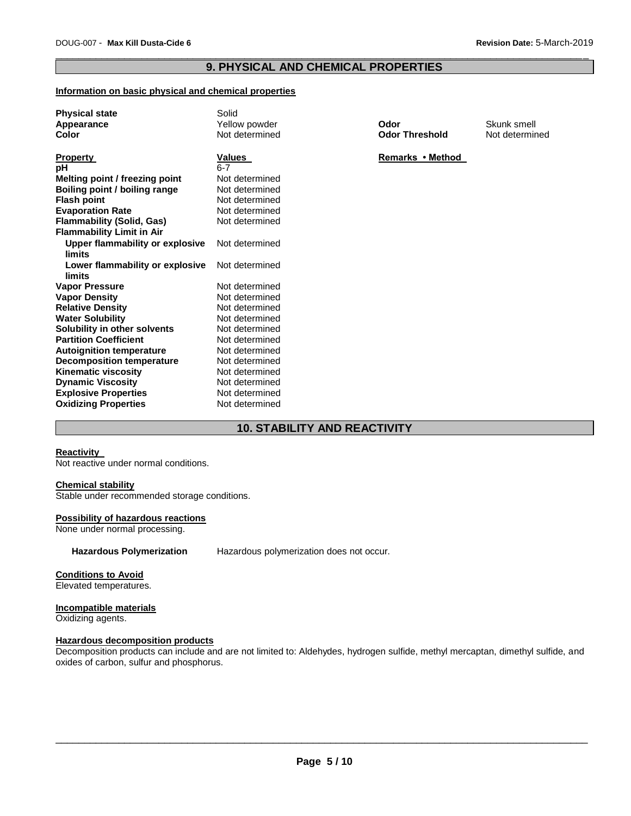## \_\_\_\_\_\_\_\_\_\_\_\_\_\_\_\_\_\_\_\_\_\_\_\_\_\_\_\_\_\_\_\_\_\_\_\_\_\_\_\_\_\_\_\_\_\_\_\_\_\_\_\_\_\_\_\_\_\_\_\_\_\_\_\_\_\_\_\_\_\_\_\_\_\_\_\_\_\_\_\_\_\_\_\_\_\_\_\_\_\_\_\_\_ **9. PHYSICAL AND CHEMICAL PROPERTIES**

### **Information on basic physical and chemical properties**

| <b>Physical state</b>            | Solid          |                       |                |
|----------------------------------|----------------|-----------------------|----------------|
| Appearance                       | Yellow powder  | Odor                  | Skunk smell    |
| <b>Color</b>                     | Not determined | <b>Odor Threshold</b> | Not determined |
|                                  |                |                       |                |
| <b>Property</b>                  | Values         | Remarks • Method      |                |
| рH                               | $6 - 7$        |                       |                |
| Melting point / freezing point   | Not determined |                       |                |
| Boiling point / boiling range    | Not determined |                       |                |
| <b>Flash point</b>               | Not determined |                       |                |
| <b>Evaporation Rate</b>          | Not determined |                       |                |
| <b>Flammability (Solid, Gas)</b> | Not determined |                       |                |
| <b>Flammability Limit in Air</b> |                |                       |                |
| Upper flammability or explosive  | Not determined |                       |                |
| limits                           |                |                       |                |
| Lower flammability or explosive  | Not determined |                       |                |
| limits                           |                |                       |                |
| <b>Vapor Pressure</b>            | Not determined |                       |                |
| <b>Vapor Density</b>             | Not determined |                       |                |
| <b>Relative Density</b>          | Not determined |                       |                |
| <b>Water Solubility</b>          | Not determined |                       |                |
| Solubility in other solvents     | Not determined |                       |                |
| <b>Partition Coefficient</b>     | Not determined |                       |                |
| <b>Autoignition temperature</b>  | Not determined |                       |                |
| <b>Decomposition temperature</b> | Not determined |                       |                |
| <b>Kinematic viscosity</b>       | Not determined |                       |                |
| <b>Dynamic Viscosity</b>         | Not determined |                       |                |
| <b>Explosive Properties</b>      | Not determined |                       |                |
| <b>Oxidizing Properties</b>      | Not determined |                       |                |

## **10. STABILITY AND REACTIVITY**

#### **Reactivity**

Not reactive under normal conditions.

## **Chemical stability**

Stable under recommended storage conditions.

#### **Possibility of hazardous reactions**

None under normal processing.

**Hazardous Polymerization** Hazardous polymerization does not occur.

### **Conditions to Avoid**

Elevated temperatures.

### **Incompatible materials**

Oxidizing agents.

## **Hazardous decomposition products**

Decomposition products can include and are not limited to: Aldehydes, hydrogen sulfide, methyl mercaptan, dimethyl sulfide, and oxides of carbon, sulfur and phosphorus.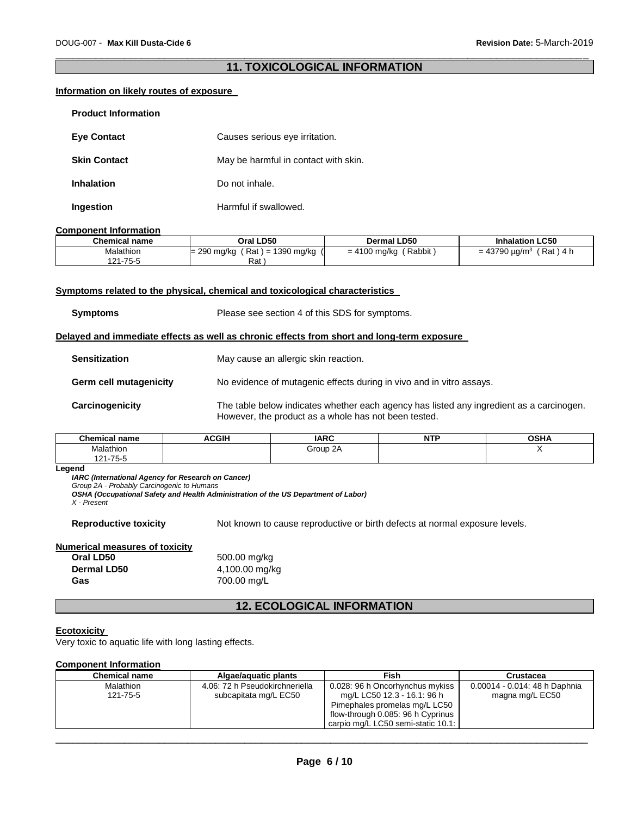## \_\_\_\_\_\_\_\_\_\_\_\_\_\_\_\_\_\_\_\_\_\_\_\_\_\_\_\_\_\_\_\_\_\_\_\_\_\_\_\_\_\_\_\_\_\_\_\_\_\_\_\_\_\_\_\_\_\_\_\_\_\_\_\_\_\_\_\_\_\_\_\_\_\_\_\_\_\_\_\_\_\_\_\_\_\_\_\_\_\_\_\_\_ **11. TOXICOLOGICAL INFORMATION**

## **Information on likely routes of exposure**

| <b>Product Information</b> |                                      |
|----------------------------|--------------------------------------|
| <b>Eye Contact</b>         | Causes serious eye irritation.       |
| <b>Skin Contact</b>        | May be harmful in contact with skin. |
| <b>Inhalation</b>          | Do not inhale.                       |
| Ingestion                  | Harmful if swallowed.                |

#### **Component Information**

| Chemical name | Oral LD50                         | <b>Dermal LD50</b>       | <b>Inhalation LC50</b>              |
|---------------|-----------------------------------|--------------------------|-------------------------------------|
| Malathion     | $H = 1390$ mg/kg<br>$= 290$ mg/kg | Rabbit<br>$= 4100$ mg/kg | = 43790 $\mu$ g/m $^3$<br>Rat ) 4 h |
| 121-75-5      | Rat                               |                          |                                     |

#### **Symptoms related to the physical, chemical and toxicological characteristics**

| Symptoms | Please see section 4 of this SDS for symptoms. |
|----------|------------------------------------------------|
|          |                                                |

#### **Delayed and immediate effects as well as chronic effects from short and long-term exposure**

| <b>Sensitization</b>          | May cause an allergic skin reaction.                                                                                                             |
|-------------------------------|--------------------------------------------------------------------------------------------------------------------------------------------------|
| <b>Germ cell mutagenicity</b> | No evidence of mutagenic effects during in vivo and in vitro assays.                                                                             |
| Carcinogenicity               | The table below indicates whether each agency has listed any ingredient as a carcinogen.<br>However, the product as a whole has not been tested. |

| $^{\circ}$ hamu<br>name                                           | <b>CGIH</b><br>чm | IMDC<br>ın  | $\overline{\phantom{a}}$<br>м.<br>. | A<br> |
|-------------------------------------------------------------------|-------------------|-------------|-------------------------------------|-------|
| alathior.                                                         |                   | 2A<br>Group |                                     |       |
| $\overline{\phantom{a}}$<br>1 O 1<br>כ-כז-ו<br>-<br>$\sim$ $\sim$ |                   |             |                                     |       |

#### **Legend**

*IARC (International Agency for Research on Cancer)*

*Group 2A - Probably Carcinogenic to Humans* 

*OSHA (Occupational Safety and Health Administration of the US Department of Labor)*

*X - Present* 

**Reproductive toxicity** Not known to cause reproductive or birth defects at normal exposure levels.

### **Numerical measures of toxicity**

**Oral LD50** 500.00 mg/kg **Dermal LD50** 4,100.00 mg/kg **Gas** 700.00 mg/L

## **12. ECOLOGICAL INFORMATION**

#### **Ecotoxicity**

Very toxic to aquatic life with long lasting effects.

## **Component Information**

| <b>Chemical name</b>  | Algae/aguatic plants                                    | Fish                                                           | Crustacea                                        |
|-----------------------|---------------------------------------------------------|----------------------------------------------------------------|--------------------------------------------------|
| Malathion<br>121-75-5 | 4.06: 72 h Pseudokirchneriella<br>subcapitata mg/L EC50 | 0.028: 96 h Oncorhynchus mykiss<br>mg/L LC50 12.3 - 16.1: 96 h | 0.00014 - 0.014: 48 h Daphnia<br>magna mg/L EC50 |
|                       |                                                         | Pimephales promelas mg/L LC50                                  |                                                  |
|                       |                                                         | flow-through 0.085: 96 h Cyprinus                              |                                                  |
|                       |                                                         | carpio mg/L LC50 semi-static 10.1:                             |                                                  |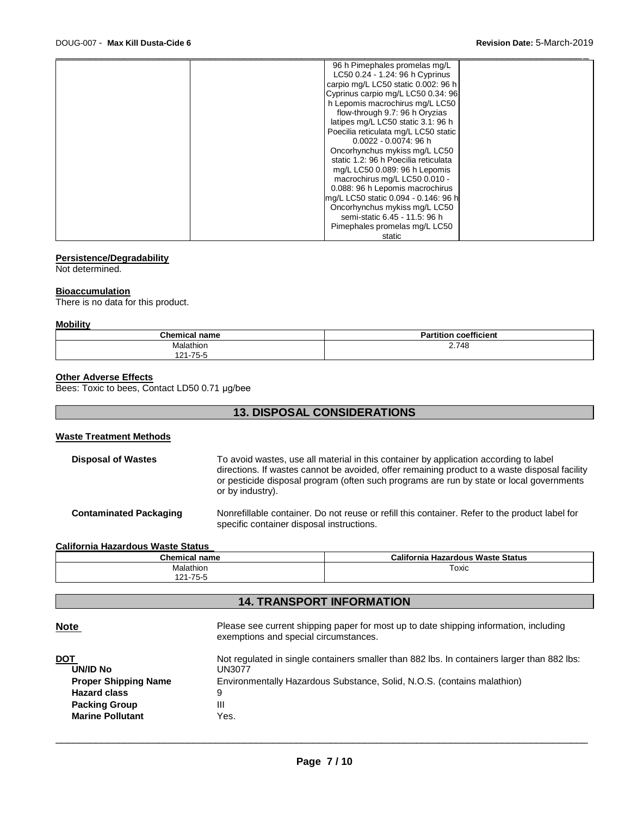| 96 h Pimephales promelas mg/L        |
|--------------------------------------|
| LC50 0.24 - 1.24: 96 h Cyprinus      |
| carpio mg/L LC50 static 0.002: 96 h  |
| Cyprinus carpio mg/L LC50 0.34: 96   |
| h Lepomis macrochirus mg/L LC50      |
| flow-through 9.7: 96 h Oryzias       |
| latipes mg/L LC50 static 3.1: 96 h   |
| Poecilia reticulata mg/L LC50 static |
| $0.0022 - 0.0074$ : 96 h             |
| Oncorhynchus mykiss mg/L LC50        |
| static 1.2: 96 h Poecilia reticulata |
| mg/L LC50 0.089: 96 h Lepomis        |
| macrochirus mg/L LC50 0.010 -        |
| 0.088: 96 h Lepomis macrochirus      |
| mg/L LC50 static 0.094 - 0.146: 96 h |
| Oncorhynchus mykiss mg/L LC50        |
| semi-static 6.45 - 11.5: 96 h        |
| Pimephales promelas mg/L LC50        |
| static                               |

### **Persistence/Degradability**

Not determined.

#### **Bioaccumulation**

There is no data for this product.

#### **Mobility**

| <b>Chemical name</b> | coefficient<br>.<br>$D$ ortitior |
|----------------------|----------------------------------|
| Malathion            | 2.748                            |
| 21-75-5<br>1 O 1     |                                  |

## **Other Adverse Effects**

Bees: Toxic to bees, Contact LD50 0.71 μg/bee

## **13. DISPOSAL CONSIDERATIONS**

## **Waste Treatment Methods**

| <b>Disposal of Wastes</b>     | To avoid wastes, use all material in this container by application according to label<br>directions. If wastes cannot be avoided, offer remaining product to a waste disposal facility<br>or pesticide disposal program (often such programs are run by state or local governments<br>or by industry). |
|-------------------------------|--------------------------------------------------------------------------------------------------------------------------------------------------------------------------------------------------------------------------------------------------------------------------------------------------------|
| <b>Contaminated Packaging</b> | Nonrefillable container. Do not reuse or refill this container. Refer to the product label for<br>specific container disposal instructions.                                                                                                                                                            |

### **California Hazardous Waste Status**

| <b>Chemical name</b>     | California Hazardous Waste Status |
|--------------------------|-----------------------------------|
| Malathion                | Toxic                             |
| $1 - 75 - 5$<br>៲៱៲<br>∠ |                                   |

## **14. TRANSPORT INFORMATION**

| <b>Note</b>                 | Please see current shipping paper for most up to date shipping information, including<br>exemptions and special circumstances. |
|-----------------------------|--------------------------------------------------------------------------------------------------------------------------------|
| DOT<br><b>UN/ID No</b>      | Not regulated in single containers smaller than 882 lbs. In containers larger than 882 lbs:<br>UN3077                          |
| <b>Proper Shipping Name</b> | Environmentally Hazardous Substance, Solid, N.O.S. (contains malathion)                                                        |
| <b>Hazard class</b>         | 9                                                                                                                              |
| <b>Packing Group</b>        | Ш                                                                                                                              |
| <b>Marine Pollutant</b>     | Yes.                                                                                                                           |
|                             |                                                                                                                                |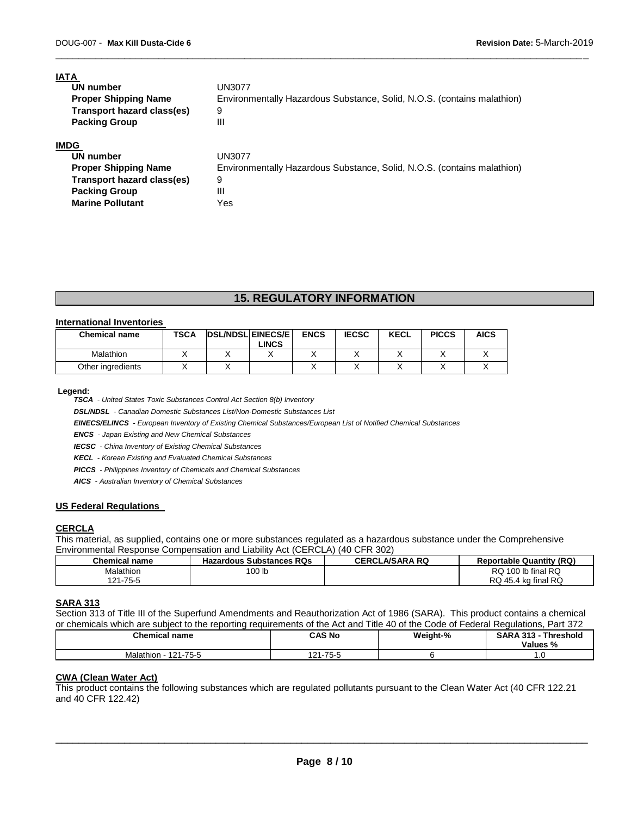**Packing Group 111 Marine Pollutant** Yes

| <b>IATA</b>                 |                                                                         |
|-----------------------------|-------------------------------------------------------------------------|
| UN number                   | UN3077                                                                  |
| <b>Proper Shipping Name</b> | Environmentally Hazardous Substance, Solid, N.O.S. (contains malathion) |
| Transport hazard class(es)  | 9                                                                       |
| <b>Packing Group</b>        | Ш                                                                       |
| <b>IMDG</b>                 |                                                                         |
| UN number                   | UN3077                                                                  |
| <b>Proper Shipping Name</b> | Environmentally Hazardous Substance, Solid, N.O.S. (contains malathion) |
| Transport hazard class(es)  | 9                                                                       |

\_\_\_\_\_\_\_\_\_\_\_\_\_\_\_\_\_\_\_\_\_\_\_\_\_\_\_\_\_\_\_\_\_\_\_\_\_\_\_\_\_\_\_\_\_\_\_\_\_\_\_\_\_\_\_\_\_\_\_\_\_\_\_\_\_\_\_\_\_\_\_\_\_\_\_\_\_\_\_\_\_\_\_\_\_\_\_\_\_\_\_\_\_

## **15. REGULATORY INFORMATION**

### **International Inventories**

| <b>Chemical name</b> | <b>TSCA</b> | <b>DSL/NDSLEINECS/EL</b> | <b>LINCS</b> | <b>ENCS</b> | <b>IECSC</b> | KECL | <b>PICCS</b> | <b>AICS</b> |
|----------------------|-------------|--------------------------|--------------|-------------|--------------|------|--------------|-------------|
| <b>Malathion</b>     |             |                          |              |             |              |      |              |             |
| Other ingredients    |             |                          |              |             |              |      |              |             |

#### **Legend:**

*TSCA - United States Toxic Substances Control Act Section 8(b) Inventory* 

*DSL/NDSL - Canadian Domestic Substances List/Non-Domestic Substances List* 

*EINECS/ELINCS - European Inventory of Existing Chemical Substances/European List of Notified Chemical Substances* 

*ENCS - Japan Existing and New Chemical Substances* 

*IECSC - China Inventory of Existing Chemical Substances* 

*KECL - Korean Existing and Evaluated Chemical Substances* 

*PICCS - Philippines Inventory of Chemicals and Chemical Substances* 

*AICS - Australian Inventory of Chemical Substances* 

#### **US Federal Regulations**

## **CERCLA**

This material, as supplied, contains one or more substances regulated as a hazardous substance under the Comprehensive Environmental Response Compensation and Liability Act (CERCLA) (40 CFR 302)

| <b>Chemical name</b> | <b>Hazardous Substances RQs</b> | <b>CERCLA/SARA RQ</b> | <b>Reportable Quantity (RQ)</b> |
|----------------------|---------------------------------|-----------------------|---------------------------------|
| Malathion            | 100 lb                          |                       | RQ 100 lb final RQ              |
| 121-75-5             |                                 |                       | RQ 45.4 kg final RQ             |

#### **SARA 313**

Section 313 of Title III of the Superfund Amendments and Reauthorization Act of 1986 (SARA). This product contains a chemical or chemicals which are subject to the reporting requirements of the Act and Title 40 of the Code of Federal Regulations, Part 372

| <b>Chemical name</b>                | <b>CAS No</b><br>.      | Weight-% | SARA313<br>Threshold<br>Values % |
|-------------------------------------|-------------------------|----------|----------------------------------|
| $.1 - 75 - 5$<br>Malathior<br>4 0 4 | $75-5$<br>$\sim$<br>. . |          | 1.U                              |

#### **CWA (Clean Water Act)**

This product contains the following substances which are regulated pollutants pursuant to the Clean Water Act (40 CFR 122.21 and 40 CFR 122.42)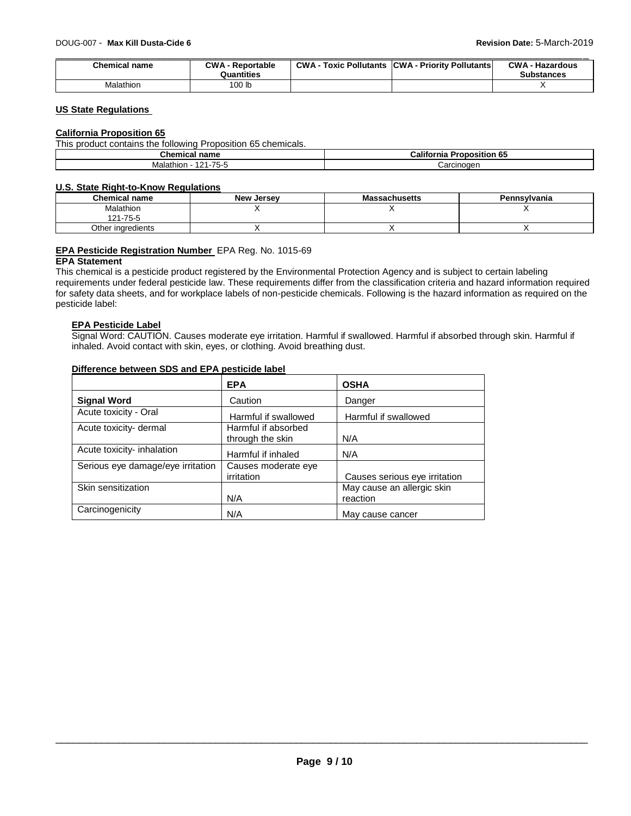| <b>Chemical name</b> | <b>CWA - Reportable</b><br>Quantities | <b>CWA - Toxic Pollutants CWA - Priority Pollutants</b> | <b>CWA - Hazardous</b><br><b>Substances</b> |
|----------------------|---------------------------------------|---------------------------------------------------------|---------------------------------------------|
| Malathion            | 100 lb                                |                                                         |                                             |

## **US State Regulations**

#### **California Proposition 65**

| This product contains the following Proposition 65 chemicals. |  |
|---------------------------------------------------------------|--|
|---------------------------------------------------------------|--|

| hemical <i>r</i> ـ<br>name                                                | $ -$<br>Califorr<br>nıa<br>ositior<br>rono<br>ິ |
|---------------------------------------------------------------------------|-------------------------------------------------|
| $- -$<br>Malathion<br>$\cdot$ $\cdot$ $\cdot$ $\cdot$<br>ב ו'<br><u>L</u> | Carcinogen                                      |

## **U.S. State Right-to-Know Regulations**

| <b>Chemical name</b> | <b>New Jersey</b> | <b>Massachusetts</b> | Pennsylvania |
|----------------------|-------------------|----------------------|--------------|
| <b>Malathion</b>     |                   |                      |              |
| 121-75-5             |                   |                      |              |
| Other inaredients    |                   |                      |              |

## **EPA Pesticide Registration Number** EPA Reg. No. 1015-69

### **EPA Statement**

This chemical is a pesticide product registered by the Environmental Protection Agency and is subject to certain labeling requirements under federal pesticide law. These requirements differ from the classification criteria and hazard information required for safety data sheets, and for workplace labels of non-pesticide chemicals. Following is the hazard information as required on the pesticide label:

## **EPA Pesticide Label**

Signal Word: CAUTION. Causes moderate eye irritation. Harmful if swallowed. Harmful if absorbed through skin. Harmful if inhaled. Avoid contact with skin, eyes, or clothing. Avoid breathing dust.

|                                   | <b>EPA</b>                               | <b>OSHA</b>                            |
|-----------------------------------|------------------------------------------|----------------------------------------|
| <b>Signal Word</b>                | Caution                                  | Danger                                 |
| Acute toxicity - Oral             | Harmful if swallowed                     | Harmful if swallowed                   |
| Acute toxicity- dermal            | Harmful if absorbed<br>through the skin  | N/A                                    |
| Acute toxicity- inhalation        | Harmful if inhaled                       | N/A                                    |
| Serious eye damage/eye irritation | Causes moderate eye<br><i>irritation</i> | Causes serious eye irritation          |
| Skin sensitization                | N/A                                      | May cause an allergic skin<br>reaction |
| Carcinogenicity                   | N/A                                      | May cause cancer                       |

## **Difference between SDS and EPA pesticide label**